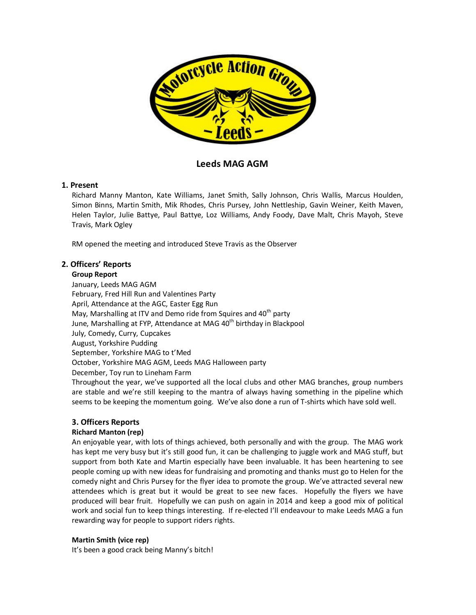

# **Leeds MAG AGM**

## **1. Present**

Richard Manny Manton, Kate Williams, Janet Smith, Sally Johnson, Chris Wallis, Marcus Houlden, Simon Binns, Martin Smith, Mik Rhodes, Chris Pursey, John Nettleship, Gavin Weiner, Keith Maven, Helen Taylor, Julie Battye, Paul Battye, Loz Williams, Andy Foody, Dave Malt, Chris Mayoh, Steve Travis, Mark Ogley

RM opened the meeting and introduced Steve Travis as the Observer

# **2. Officers' Reports**

## **Group Report**

January, Leeds MAG AGM February, Fred Hill Run and Valentines Party April, Attendance at the AGC, Easter Egg Run May, Marshalling at ITV and Demo ride from Squires and  $40<sup>th</sup>$  party June, Marshalling at FYP, Attendance at MAG 40<sup>th</sup> birthday in Blackpool July, Comedy, Curry, Cupcakes August, Yorkshire Pudding September, Yorkshire MAG to t'Med October, Yorkshire MAG AGM, Leeds MAG Halloween party December, Toy run to Lineham Farm Throughout the year, we've supported all the local clubs and other MAG branches, group numbers are stable and we're still keeping to the mantra of always having something in the pipeline which seems to be keeping the momentum going. We've also done a run of T-shirts which have sold well.

## **3. Officers Reports**

## **Richard Manton (rep)**

An enjoyable year, with lots of things achieved, both personally and with the group. The MAG work has kept me very busy but it's still good fun, it can be challenging to juggle work and MAG stuff, but support from both Kate and Martin especially have been invaluable. It has been heartening to see people coming up with new ideas for fundraising and promoting and thanks must go to Helen for the comedy night and Chris Pursey for the flyer idea to promote the group. We've attracted several new attendees which is great but it would be great to see new faces. Hopefully the flyers we have produced will bear fruit. Hopefully we can push on again in 2014 and keep a good mix of political work and social fun to keep things interesting. If re-elected I'll endeavour to make Leeds MAG a fun rewarding way for people to support riders rights.

## **Martin Smith (vice rep)**

It's been a good crack being Manny's bitch!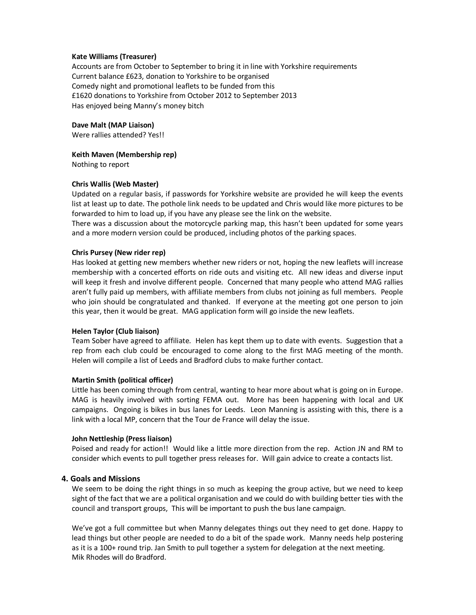## **Kate Williams (Treasurer)**

Accounts are from October to September to bring it in line with Yorkshire requirements Current balance £623, donation to Yorkshire to be organised Comedy night and promotional leaflets to be funded from this £1620 donations to Yorkshire from October 2012 to September 2013 Has enjoyed being Manny's money bitch

## **Dave Malt (MAP Liaison)**

Were rallies attended? Yes!!

## **Keith Maven (Membership rep)**

Nothing to report

## **Chris Wallis (Web Master)**

Updated on a regular basis, if passwords for Yorkshire website are provided he will keep the events list at least up to date. The pothole link needs to be updated and Chris would like more pictures to be forwarded to him to load up, if you have any please see the link on the website.

There was a discussion about the motorcycle parking map, this hasn't been updated for some years and a more modern version could be produced, including photos of the parking spaces.

#### **Chris Pursey (New rider rep)**

Has looked at getting new members whether new riders or not, hoping the new leaflets will increase membership with a concerted efforts on ride outs and visiting etc. All new ideas and diverse input will keep it fresh and involve different people. Concerned that many people who attend MAG rallies aren't fully paid up members, with affiliate members from clubs not joining as full members. People who join should be congratulated and thanked. If everyone at the meeting got one person to join this year, then it would be great. MAG application form will go inside the new leaflets.

#### **Helen Taylor (Club liaison)**

Team Sober have agreed to affiliate. Helen has kept them up to date with events. Suggestion that a rep from each club could be encouraged to come along to the first MAG meeting of the month. Helen will compile a list of Leeds and Bradford clubs to make further contact.

#### **Martin Smith (political officer)**

Little has been coming through from central, wanting to hear more about what is going on in Europe. MAG is heavily involved with sorting FEMA out. More has been happening with local and UK campaigns. Ongoing is bikes in bus lanes for Leeds. Leon Manning is assisting with this, there is a link with a local MP, concern that the Tour de France will delay the issue.

#### **John Nettleship (Press liaison)**

Poised and ready for action!! Would like a little more direction from the rep. Action JN and RM to consider which events to pull together press releases for. Will gain advice to create a contacts list.

## **4. Goals and Missions**

We seem to be doing the right things in so much as keeping the group active, but we need to keep sight of the fact that we are a political organisation and we could do with building better ties with the council and transport groups, This will be important to push the bus lane campaign.

We've got a full committee but when Manny delegates things out they need to get done. Happy to lead things but other people are needed to do a bit of the spade work. Manny needs help postering as it is a 100+ round trip. Jan Smith to pull together a system for delegation at the next meeting. Mik Rhodes will do Bradford.